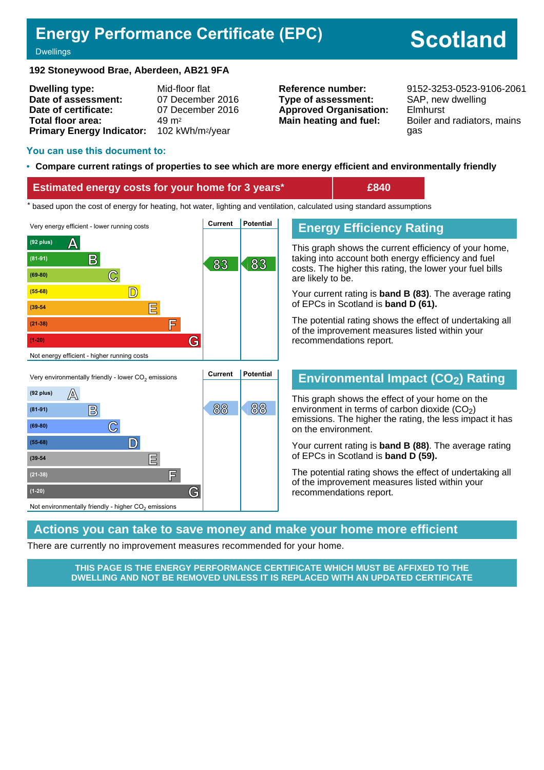# **Energy Performance Certificate (EPC)**

# **Scotland**

#### **Dwellings**

#### **192 Stoneywood Brae, Aberdeen, AB21 9FA**

| <b>Dwelling type:</b>                                  | Mid-floor flat   |
|--------------------------------------------------------|------------------|
| Date of assessment:                                    | 07 December 2016 |
| Date of certificate:                                   | 07 December 2016 |
| Total floor area:                                      | $49 \text{ m}^2$ |
| Primary Energy Indicator: 102 kWh/m <sup>2</sup> /year |                  |

**Type of assessment:** SAP, new dwelling **Approved Organisation:** Elmhurst

**Reference number:** 9152-3253-0523-9106-2061 **Main heating and fuel:** Boiler and radiators, mains gas

#### **You can use this document to:**

#### • **Compare current ratings of properties to see which are more energy efficient and environmentally friendly**

#### **Estimated energy costs for your home for 3 years\* £840**

the sed upon the cost of energy for heating, hot water, lighting and ventilation, calculated using standard assumptions





# **Energy Efficiency Rating**

This graph shows the current efficiency of your home, taking into account both energy efficiency and fuel costs. The higher this rating, the lower your fuel bills are likely to be.

Your current rating is **band B (83)**. The average rating of EPCs in Scotland is **band D (61).**

The potential rating shows the effect of undertaking all of the improvement measures listed within your recommendations report.

### **Environmental Impact (CO2) Rating**

This graph shows the effect of your home on the environment in terms of carbon dioxide  $(CO<sub>2</sub>)$ emissions. The higher the rating, the less impact it has on the environment.

Your current rating is **band B (88)**. The average rating of EPCs in Scotland is **band D (59).**

The potential rating shows the effect of undertaking all of the improvement measures listed within your recommendations report.

#### **Actions you can take to save money and make your home more efficient**

There are currently no improvement measures recommended for your home.

**THIS PAGE IS THE ENERGY PERFORMANCE CERTIFICATE WHICH MUST BE AFFIXED TO THE DWELLING AND NOT BE REMOVED UNLESS IT IS REPLACED WITH AN UPDATED CERTIFICATE**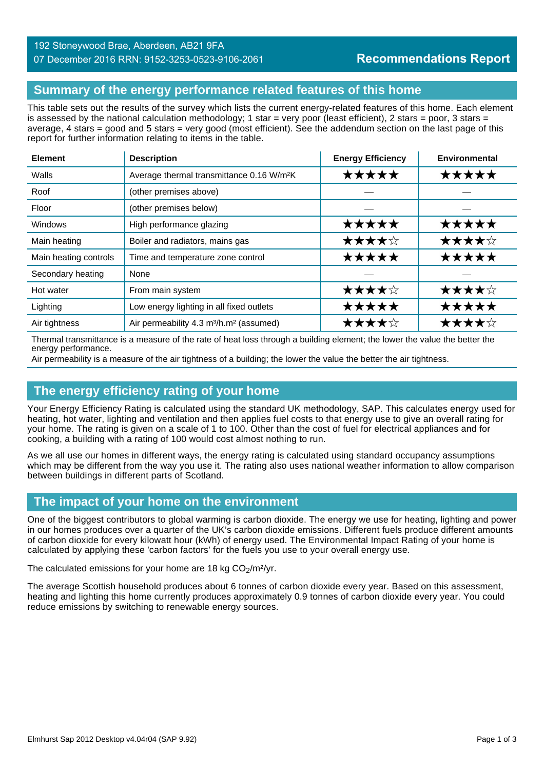#### 192 Stoneywood Brae, Aberdeen, AB21 9FA 07 December 2016 RRN: 9152-3253-0523-9106-2061

# **Summary of the energy performance related features of this home**

This table sets out the results of the survey which lists the current energy-related features of this home. Each element is assessed by the national calculation methodology; 1 star = very poor (least efficient), 2 stars = poor, 3 stars = average, 4 stars = good and 5 stars = very good (most efficient). See the addendum section on the last page of this report for further information relating to items in the table.

| <b>Element</b>        | <b>Description</b>                                              | <b>Energy Efficiency</b> | Environmental |
|-----------------------|-----------------------------------------------------------------|--------------------------|---------------|
| Walls                 | Average thermal transmittance 0.16 W/m <sup>2</sup> K           | *****                    | ★★★★★         |
| Roof                  | (other premises above)                                          |                          |               |
| Floor                 | (other premises below)                                          |                          |               |
| Windows               | High performance glazing                                        | ★★★★★                    | *****         |
| Main heating          | Boiler and radiators, mains gas                                 | ★★★★☆                    | ★★★★☆         |
| Main heating controls | Time and temperature zone control                               | ★★★★★                    | ★★★★★         |
| Secondary heating     | None                                                            |                          |               |
| Hot water             | From main system                                                | ★★★★☆                    | ★★★★☆         |
| Lighting              | Low energy lighting in all fixed outlets                        | *****                    | ★★★★★         |
| Air tightness         | Air permeability 4.3 m <sup>3</sup> /h.m <sup>2</sup> (assumed) | ★★★★☆                    | ★★★★☆         |

Thermal transmittance is a measure of the rate of heat loss through a building element; the lower the value the better the energy performance.

Air permeability is a measure of the air tightness of a building; the lower the value the better the air tightness.

### **The energy efficiency rating of your home**

Your Energy Efficiency Rating is calculated using the standard UK methodology, SAP. This calculates energy used for heating, hot water, lighting and ventilation and then applies fuel costs to that energy use to give an overall rating for your home. The rating is given on a scale of 1 to 100. Other than the cost of fuel for electrical appliances and for cooking, a building with a rating of 100 would cost almost nothing to run.

As we all use our homes in different ways, the energy rating is calculated using standard occupancy assumptions which may be different from the way you use it. The rating also uses national weather information to allow comparison between buildings in different parts of Scotland.

# **The impact of your home on the environment**

One of the biggest contributors to global warming is carbon dioxide. The energy we use for heating, lighting and power in our homes produces over a quarter of the UK's carbon dioxide emissions. Different fuels produce different amounts of carbon dioxide for every kilowatt hour (kWh) of energy used. The Environmental Impact Rating of your home is calculated by applying these 'carbon factors' for the fuels you use to your overall energy use.

The calculated emissions for your home are 18 kg  $CO<sub>2</sub>/m<sup>2</sup>/yr$ .

The average Scottish household produces about 6 tonnes of carbon dioxide every year. Based on this assessment, heating and lighting this home currently produces approximately 0.9 tonnes of carbon dioxide every year. You could reduce emissions by switching to renewable energy sources.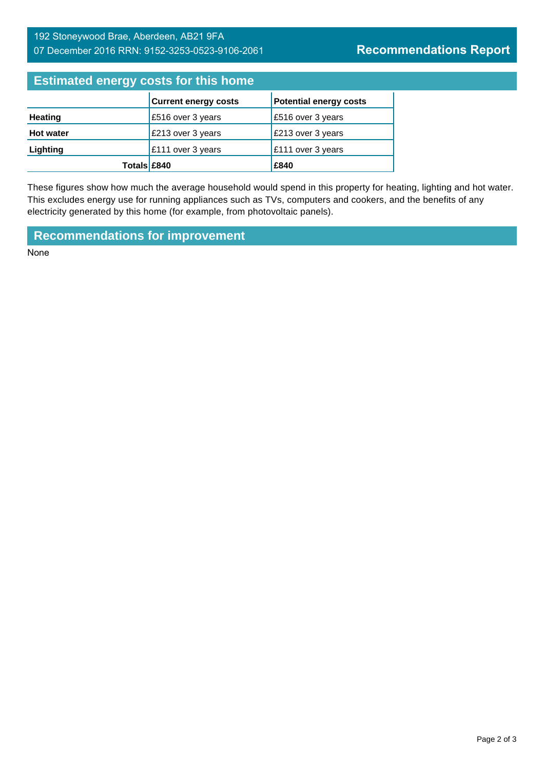# 192 Stoneywood Brae, Aberdeen, AB21 9FA 07 December 2016 RRN: 9152-3253-0523-9106-2061

# **Estimated energy costs for this home**

|                  | <b>Current energy costs</b> | <b>Potential energy costs</b> |
|------------------|-----------------------------|-------------------------------|
| <b>Heating</b>   | £516 over 3 years           | £516 over 3 years             |
| <b>Hot water</b> | £213 over 3 years           | £213 over 3 years             |
| Lighting         | £111 over 3 years           | £111 over 3 years             |
| Totals £840      |                             | £840                          |

These figures show how much the average household would spend in this property for heating, lighting and hot water. This excludes energy use for running appliances such as TVs, computers and cookers, and the benefits of any electricity generated by this home (for example, from photovoltaic panels).

**Recommendations for improvement**

None